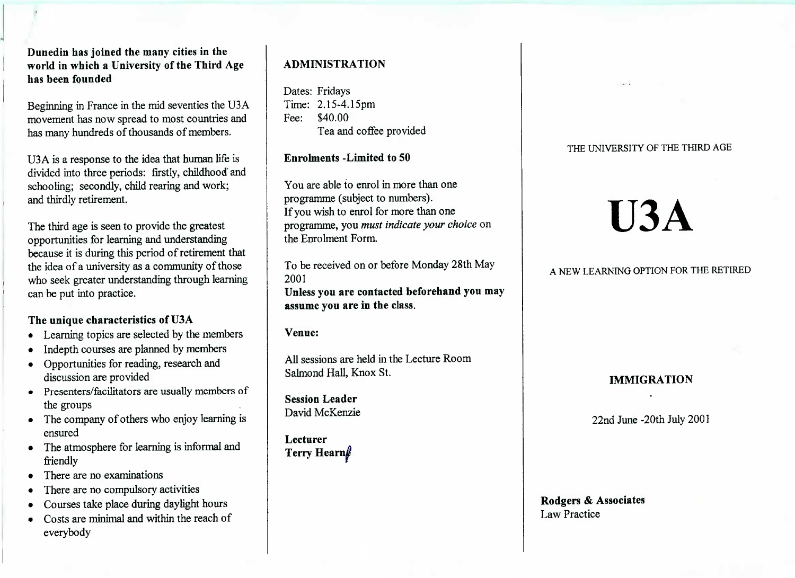**Duncdin has joined the many cities in the world in which a University of the Third Agehas been founded**

Beginning in France in the mid seventies the U3A movement has now spread to most countries andhas many hundreds of thousands of members.

U3A is a response to the idea that human life is divided into three periods: firstly, childhood' andschooling; secondly, child rearing and work;and thirdly retirement.

The third age is seen to provide the greatest opportunities for learning and understanding because it is during this period of retirement thatthe idea of a university as a community of those who seek greater understanding through learningcan be put into practice.

## **The unique characteristics of U3A**

- Learning topics are selected by the members
- Indepth courses are planned by members
- Opportunities for reading, research anddiscussion are provided
- Presenters/facilitators are usually members ofthe groups
- The company of others who enjoy learning isensured
- The atmosphere for learning is informal andfriendly
- There are no examinations
- There are no compulsory activities
- Courses take place during daylight hours
- Costs are minimal and within the reach ofeverybody

# **ADMINISTRATION**

Dates: Fridays Time: 2.15-4.15pmFee: \$40.00t ea and coffee provided

## **Enrolments -Limited to 50**

You are able to enrol in more than oneprogramme (subject to numbers). If you wish to enrol for more than one programme, you *must indicate your choice* onthe Enrolment Form.

To be received on or before Monday 28th May2001 **Unless you are contacted beforehand you mayassume you are in the class.**

**Venue:**

All sessions are held in the Lecture RoomSalmond Hall, Knox St.

**Session Leader**David McKenzie

**LecturerTerry Hearn<sub>l</sub>** 

## THE UNIVERSITY OF THE THIRD AGE

# **U3A**

# A NEW LEARNING OPTION FOR THE RETIRED

## **IMMIGRATION**

22nd June-20th July 2001

## **Rodgers & Associates**Law Practice